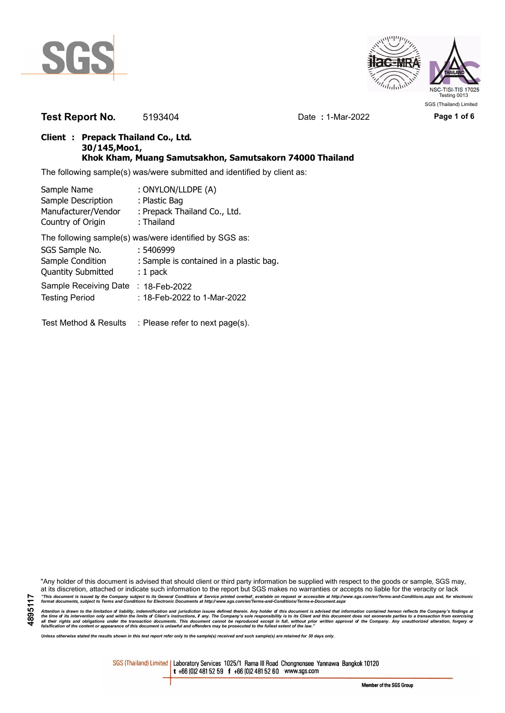



**Test Report No.** 5193404 Date **:** 1-Mar-2022 **Page 1 of 6**

## **Client : Prepack Thailand Co., Ltd. 30/145,Moo1, Khok Kham, Muang Samutsakhon, Samutsakorn 74000 Thailand**

The following sample(s) was/were submitted and identified by client as:

| Sample Name               | : ONYLON/LLDPE (A)                                     |
|---------------------------|--------------------------------------------------------|
| Sample Description        | : Plastic Bag                                          |
| Manufacturer/Vendor       | : Prepack Thailand Co., Ltd.                           |
| Country of Origin         | : Thailand                                             |
|                           | The following sample(s) was/were identified by SGS as: |
| SGS Sample No.            | : 5406999                                              |
| Sample Condition          | : Sample is contained in a plastic bag.                |
| <b>Quantity Submitted</b> | $: 1$ pack                                             |
| Sample Receiving Date     | $: 18$ -Feb-2022                                       |
| <b>Testing Period</b>     | : 18-Feb-2022 to 1-Mar-2022                            |
| Test Method & Results     | : Please refer to next page(s).                        |

"Any holder of this document is advised that should client or third party information be supplied with respect to the goods or sample, SGS may, at its discretion, attached or indicate such information to the report but SGS makes no warranties or accepts no liable for the veracity or lack "This document is issued by the Company subject to its General Conditions of Service printed overleaf, available on request or accessible at http://www.sgs.com/en/Terms-and-Conditions.aspx and, for electronic<br>format docume

Attention is drawn to the limitation of liability, indemnification and jurisdiction issues defined therein. Any holder of this document is advised that information contained hereon reflects the Company's findings at<br>all th

*Unless otherwise stated the results shown in this test report refer only to the sample(s) received and such sample(s) are retained for 30 days only.*

SGS (Thailand) Limited | Laboratory Services 1025/1 Rama III Road Chongnonsee Yannawa Bangkok 10120 t +66 (0)2 481 52 59 f +66 (0)2 481 52 60 www.sgs.com

Member of the SGS Group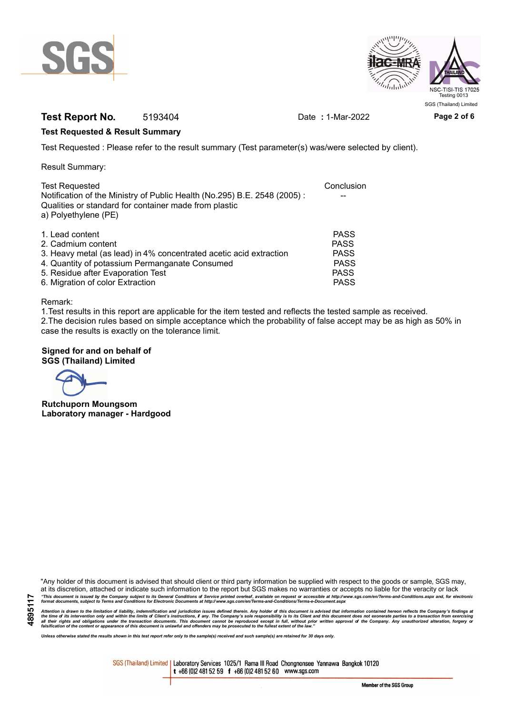



# **Test Report No.** 5193404 Date **:** 1-Mar-2022 **Page 2 of 6**

### **Test Requested & Result Summary**

Test Requested : Please refer to the result summary (Test parameter(s) was/were selected by client).

Result Summary:

| <b>Test Requested</b>                                                    | Conclusion  |
|--------------------------------------------------------------------------|-------------|
| Notification of the Ministry of Public Health (No.295) B.E. 2548 (2005): |             |
| Qualities or standard for container made from plastic                    |             |
| a) Polyethylene (PE)                                                     |             |
| 1. Lead content                                                          | <b>PASS</b> |
|                                                                          |             |
| 2. Cadmium content                                                       | <b>PASS</b> |
| 3. Heavy metal (as lead) in 4% concentrated acetic acid extraction       | <b>PASS</b> |
| 4. Quantity of potassium Permanganate Consumed                           | <b>PASS</b> |
| 5. Residue after Evaporation Test                                        | <b>PASS</b> |
| 6. Migration of color Extraction                                         | <b>PASS</b> |

#### Remark:

1.Test results in this report are applicable for the item tested and reflects the tested sample as received. 2.The decision rules based on simple acceptance which the probability of false accept may be as high as 50% in case the results is exactly on the tolerance limit.

### **Signed for and on behalf of SGS (Thailand) Limited**

**Rutchuporn Moungsom Laboratory manager - Hardgood**

"Any holder of this document is advised that should client or third party information be supplied with respect to the goods or sample, SGS may, at its discretion, attached or indicate such information to the report but SGS makes no warranties or accepts no liable for the veracity or lack "This document is issued by the Company subject to its General Conditions of Service printed overleaf, available on request or accessible at http://www.sgs.com/en/Terms-and-Conditions.aspx and, for electronic<br>format docume

Attention is drawn to the limitation of liability, indemnification and jurisdiction issues defined therein. Any holder of this document is advised that information contained hereon reflects the Company's findings at<br>all th

*Unless otherwise stated the results shown in this test report refer only to the sample(s) received and such sample(s) are retained for 30 days only.*

SGS (Thailand) Limited | Laboratory Services 1025/1 Rama III Road Chongnonsee Yannawa Bangkok 10120 t +66 (0)2 481 52 59 f +66 (0)2 481 52 60 www.sgs.com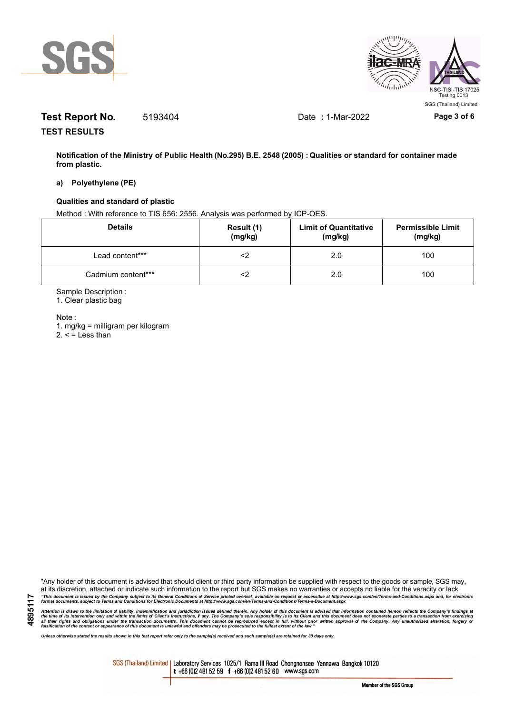



# **Test Report No.** 5193404 Date **:** 1-Mar-2022 **Page 3 of 6**

**TEST RESULTS**

**Notification of the Ministry of Public Health (No.295) B.E. 2548 (2005) : Qualities or standard for container made from plastic.**

#### **a) Polyethylene (PE)**

#### **Qualities and standard of plastic**

Method : With reference to TIS 656: 2556. Analysis was performed by ICP-OES.

| <b>Details</b>     | Result (1)<br>(mg/kg) | <b>Limit of Quantitative</b><br>(mg/kg) | <b>Permissible Limit</b><br>(mg/kg) |
|--------------------|-----------------------|-----------------------------------------|-------------------------------------|
| Lead content***    |                       | 2.0                                     | 100                                 |
| Cadmium content*** |                       | 2.0                                     | 100                                 |

Sample Description :

1. Clear plastic bag

Note :

**4895117**

1. mg/kg = milligram per kilogram  $2. <$  = Less than

"Any holder of this document is advised that should client or third party information be supplied with respect to the goods or sample, SGS may, at its discretion, attached or indicate such information to the report but SGS makes no warranties or accepts no liable for the veracity or lack "This document is issued by the Company subject to its General Conditions of Service printed overleaf, available on request or accessible at http://www.sgs.com/en/Terms-and-Conditions.aspx and, for electronic<br>format docume

Attention is drawn to the limitation of liability, indemnification and jurisdiction issues defined therein. Any holder of this document is advised that information contained hereon reflects the Company's findings at<br>all th

*Unless otherwise stated the results shown in this test report refer only to the sample(s) received and such sample(s) are retained for 30 days only.*

SGS (Thailand) Limited | Laboratory Services 1025/1 Rama III Road Chongnonsee Yannawa Bangkok 10120 t +66 (0)2 481 52 59 f +66 (0)2 481 52 60 www.sgs.com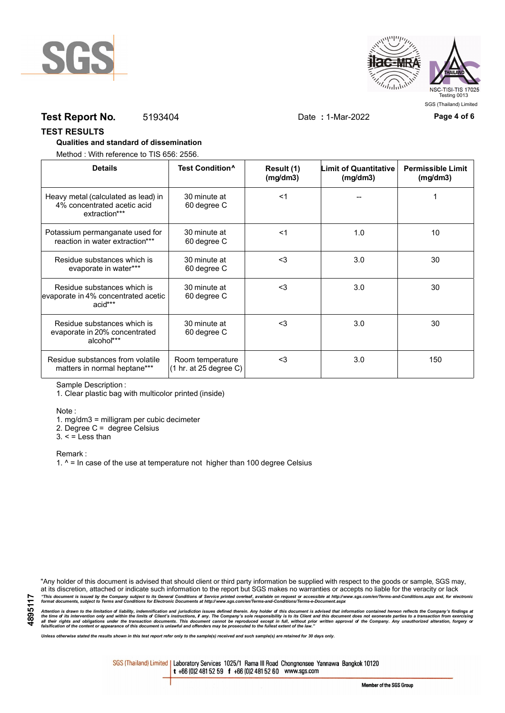



# **Test Report No.** 5193404 Date **:** 1-Mar-2022 **Page 4 of 6**

#### **TEST RESULTS**

### **Qualities and standard of dissemination**

Method : With reference to TIS 656: 2556.

| <b>Details</b>                                                                      | Test Condition <sup>^</sup>                | Result (1)<br>(mq/dm3) | <b>Limit of Quantitative</b><br>(mg/dm3) | <b>Permissible Limit</b><br>(mg/dm3) |
|-------------------------------------------------------------------------------------|--------------------------------------------|------------------------|------------------------------------------|--------------------------------------|
| Heavy metal (calculated as lead) in<br>4% concentrated acetic acid<br>extraction*** | 30 minute at<br>60 degree C                | $<$ 1                  |                                          |                                      |
| Potassium permanganate used for<br>reaction in water extraction***                  | 30 minute at<br>60 degree C                | $<$ 1                  | 1.0                                      | 10                                   |
| Residue substances which is<br>evaporate in water***                                | 30 minute at<br>60 degree C                | $<$ 3                  | 3.0                                      | 30                                   |
| Residue substances which is<br>evaporate in 4% concentrated acetic<br>acid***       | 30 minute at<br>60 degree C                | $<$ 3                  | 3.0                                      | 30                                   |
| Residue substances which is<br>evaporate in 20% concentrated<br>alcohol***          | 30 minute at<br>60 degree C                | $<$ 3                  | 3.0                                      | 30                                   |
| Residue substances from volatile<br>matters in normal heptane***                    | Room temperature<br>(1 hr. at 25 degree C) | $3$                    | 3.0                                      | 150                                  |

Sample Description :

1. Clear plastic bag with multicolor printed (inside)

Note :

1. mg/dm3 = milligram per cubic decimeter

2. Degree C = degree Celsius

 $3. <$  = Less than

Remark :

1.  $^{\circ}$  = In case of the use at temperature not higher than 100 degree Celsius

"Any holder of this document is advised that should client or third party information be supplied with respect to the goods or sample, SGS may, at its discretion, attached or indicate such information to the report but SGS makes no warranties or accepts no liable for the veracity or lack "This document is issued by the Company subject to its General Conditions of Service printed overleaf, available on request or accessible at http://www.sgs.com/en/Terms-and-Conditions.aspx and, for electronic<br>format docume

Attention is drawn to the limitation of liability, indemnification and jurisdiction issues defined therein. Any holder of this document is advised that information contained hereon reflects the Company's findings at<br>all th

*Unless otherwise stated the results shown in this test report refer only to the sample(s) received and such sample(s) are retained for 30 days only.*

SGS (Thailand) Limited | Laboratory Services 1025/1 Rama III Road Chongnonsee Yannawa Bangkok 10120 t +66 (0)2 481 52 59 f +66 (0)2 481 52 60 www.sgs.com

Member of the SGS Group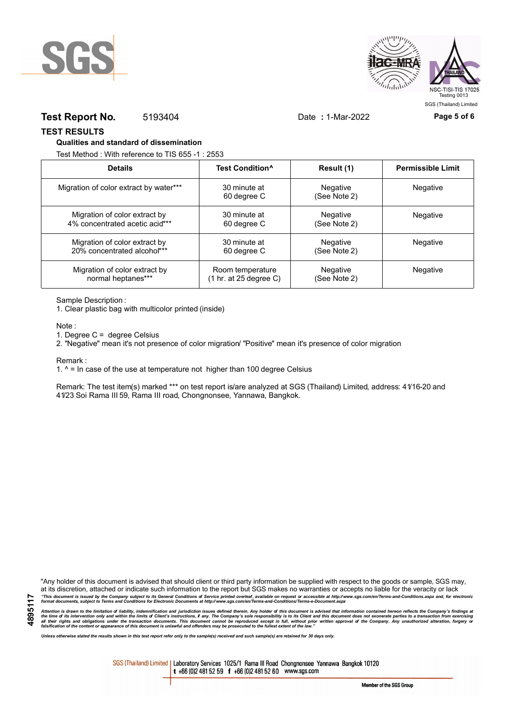



## **Test Report No.** 5193404 Date **:** 1-Mar-2022 **Page 5 of 6**

SGS (Thailand) Limited

**TEST RESULTS**

#### **Qualities and standard of dissemination**

Test Method : With reference to TIS 655 -1 : 2553

| <b>Details</b>                         | Test Condition <sup>^</sup> | Result (1)               | <b>Permissible Limit</b> |
|----------------------------------------|-----------------------------|--------------------------|--------------------------|
| Migration of color extract by water*** | 30 minute at<br>60 degree C | Negative<br>(See Note 2) | Negative                 |
| Migration of color extract by          | 30 minute at                | Negative                 | <b>Negative</b>          |
| 4% concentrated acetic acid***         | 60 degree C                 | (See Note 2)             |                          |
| Migration of color extract by          | 30 minute at                | Negative                 | Negative                 |
| 20% concentrated alcohol***            | 60 degree C                 | (See Note 2)             |                          |
| Migration of color extract by          | Room temperature            | Negative                 | Negative                 |
| normal heptanes***                     | (1 hr. at 25 degree C)      | (See Note 2)             |                          |

Sample Description :

1. Clear plastic bag with multicolor printed (inside)

Note :

1. Degree C = degree Celsius

2. "Negative" mean it's not presence of color migration/ "Positive" mean it's presence of color migration

Remark :

1.  $^{\circ}$  = In case of the use at temperature not higher than 100 degree Celsius

Remark: The test item(s) marked \*\*\* on test report is/are analyzed at SGS (Thailand) Limited, address: 41/16-20 and 41/23 Soi Rama III 59, Rama III road, Chongnonsee, Yannawa, Bangkok.

**4895117**

"Any holder of this document is advised that should client or third party information be supplied with respect to the goods or sample, SGS may, at its discretion, attached or indicate such information to the report but SGS makes no warranties or accepts no liable for the veracity or lack "This document is issued by the Company subject to its General Conditions of Service printed overleaf, available on request or accessible at http://www.sgs.com/en/Terms-and-Conditions.aspx and, for electronic<br>format docume

Attention is drawn to the limitation of liability, indemnification and jurisdiction issues defined therein. Any holder of this document is advised that information contained hereon reflects the Company's findings at<br>all th

*Unless otherwise stated the results shown in this test report refer only to the sample(s) received and such sample(s) are retained for 30 days only.*

SGS (Thailand) Limited | Laboratory Services 1025/1 Rama III Road Chongnonsee Yannawa Bangkok 10120 t +66 (0)2 481 52 59 f +66 (0)2 481 52 60 www.sgs.com